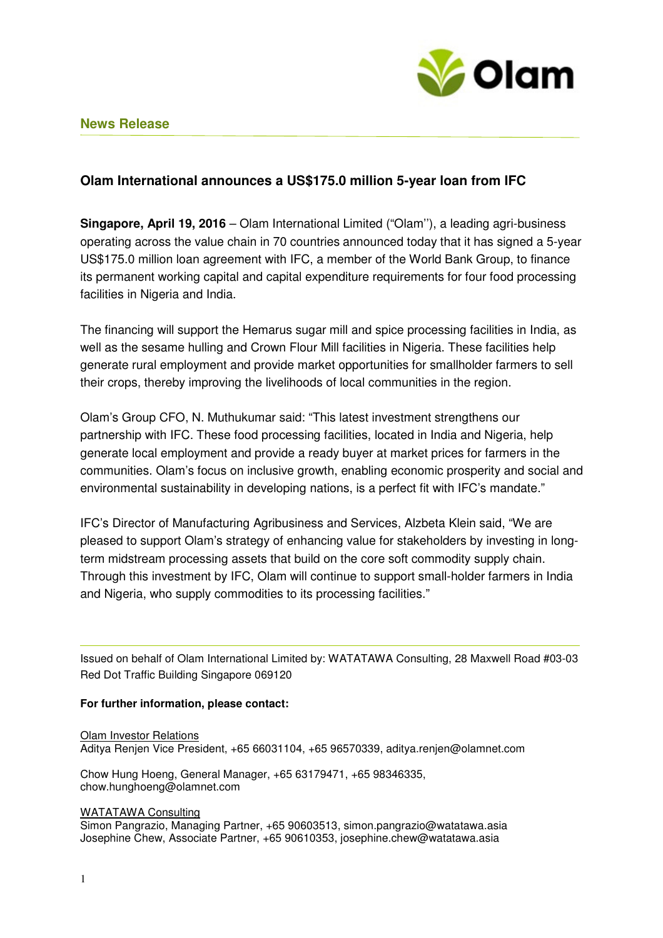

# **Olam International announces a US\$175.0 million 5-year loan from IFC**

**Singapore, April 19, 2016** – Olam International Limited ("Olam''), a leading agri-business operating across the value chain in 70 countries announced today that it has signed a 5-year US\$175.0 million loan agreement with IFC, a member of the World Bank Group, to finance its permanent working capital and capital expenditure requirements for four food processing facilities in Nigeria and India.

The financing will support the Hemarus sugar mill and spice processing facilities in India, as well as the sesame hulling and Crown Flour Mill facilities in Nigeria. These facilities help generate rural employment and provide market opportunities for smallholder farmers to sell their crops, thereby improving the livelihoods of local communities in the region.

Olam's Group CFO, N. Muthukumar said: "This latest investment strengthens our partnership with IFC. These food processing facilities, located in India and Nigeria, help generate local employment and provide a ready buyer at market prices for farmers in the communities. Olam's focus on inclusive growth, enabling economic prosperity and social and environmental sustainability in developing nations, is a perfect fit with IFC's mandate."

IFC's Director of Manufacturing Agribusiness and Services, Alzbeta Klein said, "We are pleased to support Olam's strategy of enhancing value for stakeholders by investing in longterm midstream processing assets that build on the core soft commodity supply chain. Through this investment by IFC, Olam will continue to support small-holder farmers in India and Nigeria, who supply commodities to its processing facilities."

Issued on behalf of Olam International Limited by: WATATAWA Consulting, 28 Maxwell Road #03-03 Red Dot Traffic Building Singapore 069120

## **For further information, please contact:**

## Olam Investor Relations

Aditya Renjen Vice President, +65 66031104, +65 96570339, aditya.renjen@olamnet.com

Chow Hung Hoeng, General Manager, +65 63179471, +65 98346335, chow.hunghoeng@olamnet.com

#### WATATAWA Consulting

Simon Pangrazio, Managing Partner, +65 90603513, simon.pangrazio@watatawa.asia Josephine Chew, Associate Partner, +65 90610353, josephine.chew@watatawa.asia